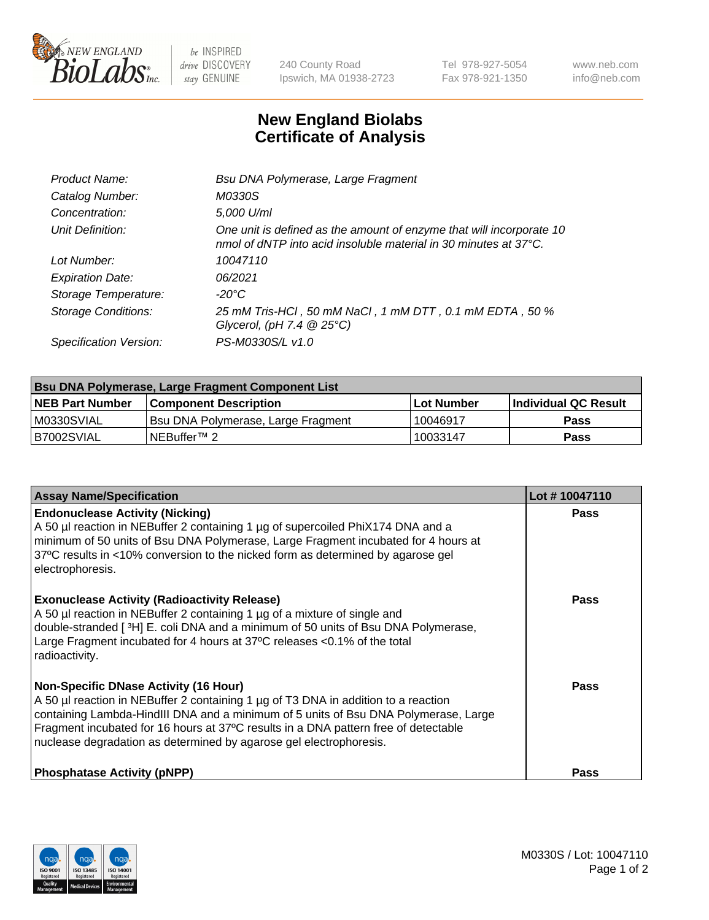

 $be$  INSPIRED drive DISCOVERY stay GENUINE

240 County Road Ipswich, MA 01938-2723 Tel 978-927-5054 Fax 978-921-1350 www.neb.com info@neb.com

## **New England Biolabs Certificate of Analysis**

| Product Name:              | Bsu DNA Polymerase, Large Fragment                                                                                                                 |
|----------------------------|----------------------------------------------------------------------------------------------------------------------------------------------------|
| Catalog Number:            | M0330S                                                                                                                                             |
| Concentration:             | 5,000 U/ml                                                                                                                                         |
| Unit Definition:           | One unit is defined as the amount of enzyme that will incorporate 10<br>nmol of dNTP into acid insoluble material in 30 minutes at $37^{\circ}$ C. |
| Lot Number:                | 10047110                                                                                                                                           |
| <b>Expiration Date:</b>    | 06/2021                                                                                                                                            |
| Storage Temperature:       | -20°C                                                                                                                                              |
| <b>Storage Conditions:</b> | 25 mM Tris-HCl, 50 mM NaCl, 1 mM DTT, 0.1 mM EDTA, 50 %<br>Glycerol, (pH 7.4 $@25°C$ )                                                             |
| Specification Version:     | PS-M0330S/L v1.0                                                                                                                                   |

| Bsu DNA Polymerase, Large Fragment Component List |                                    |                   |                      |  |
|---------------------------------------------------|------------------------------------|-------------------|----------------------|--|
| <b>NEB Part Number</b>                            | <b>Component Description</b>       | <b>Lot Number</b> | Individual QC Result |  |
| M0330SVIAL                                        | Bsu DNA Polymerase, Large Fragment | 10046917          | <b>Pass</b>          |  |
| B7002SVIAL                                        | INEBuffer™ 2_                      | 10033147          | Pass                 |  |

| <b>Assay Name/Specification</b>                                                                                                                                                                                                                                                                                                                                                        | Lot #10047110 |
|----------------------------------------------------------------------------------------------------------------------------------------------------------------------------------------------------------------------------------------------------------------------------------------------------------------------------------------------------------------------------------------|---------------|
| <b>Endonuclease Activity (Nicking)</b><br>A 50 µl reaction in NEBuffer 2 containing 1 µg of supercoiled PhiX174 DNA and a<br>minimum of 50 units of Bsu DNA Polymerase, Large Fragment incubated for 4 hours at<br>37°C results in <10% conversion to the nicked form as determined by agarose gel<br>electrophoresis.                                                                 | <b>Pass</b>   |
| <b>Exonuclease Activity (Radioactivity Release)</b><br>A 50 µl reaction in NEBuffer 2 containing 1 µg of a mixture of single and<br>double-stranded [3H] E. coli DNA and a minimum of 50 units of Bsu DNA Polymerase,<br>Large Fragment incubated for 4 hours at 37°C releases <0.1% of the total<br>radioactivity.                                                                    | <b>Pass</b>   |
| <b>Non-Specific DNase Activity (16 Hour)</b><br>A 50 µl reaction in NEBuffer 2 containing 1 µg of T3 DNA in addition to a reaction<br>containing Lambda-HindIII DNA and a minimum of 5 units of Bsu DNA Polymerase, Large<br>Fragment incubated for 16 hours at 37°C results in a DNA pattern free of detectable<br>nuclease degradation as determined by agarose gel electrophoresis. | Pass          |
| <b>Phosphatase Activity (pNPP)</b>                                                                                                                                                                                                                                                                                                                                                     | Pass          |